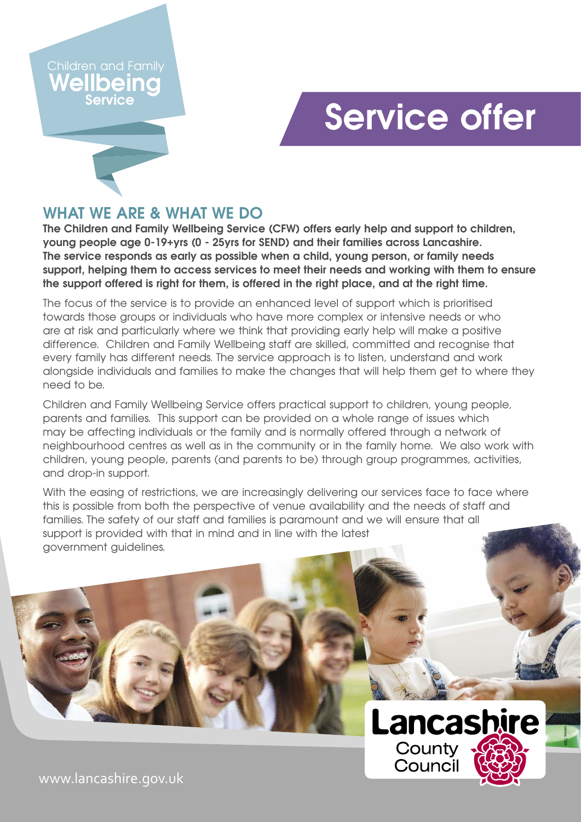#### **Melhio Service** Children and Family

## **Service offer**

## **WHAT WE ARE & WHAT WE DO**

**The Children and Family Wellbeing Service (CFW) offers early help and support to children, young people age 0-19+yrs (0 - 25yrs for SEND) and their families across Lancashire. The service responds as early as possible when a child, young person, or family needs support, helping them to access services to meet their needs and working with them to ensure the support offered is right for them, is offered in the right place, and at the right time.** 

The focus of the service is to provide an enhanced level of support which is prioritised towards those groups or individuals who have more complex or intensive needs or who are at risk and particularly where we think that providing early help will make a positive difference. Children and Family Wellbeing staff are skilled, committed and recognise that every family has different needs. The service approach is to listen, understand and work alongside individuals and families to make the changes that will help them get to where they need to be.

Children and Family Wellbeing Service offers practical support to children, young people, parents and families. This support can be provided on a whole range of issues which may be affecting individuals or the family and is normally offered through a network of neighbourhood centres as well as in the community or in the family home. We also work with children, young people, parents (and parents to be) through group programmes, activities, and drop-in support.

With the easing of restrictions, we are increasingly delivering our services face to face where this is possible from both the perspective of venue availability and the needs of staff and families. The safety of our staff and families is paramount and we will ensure that all support is provided with that in mind and in line with the latest government guidelines.



comms: 7834

www.lancashire.gov.uk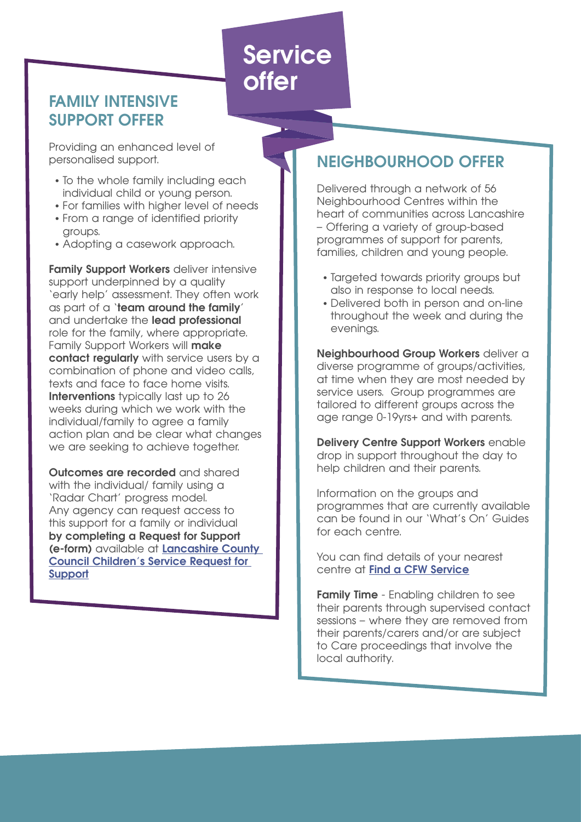**Service offer**

## **FAMILY INTENSIVE SUPPORT OFFER**

Providing an enhanced level of personalised support.

- To the whole family including each individual child or young person.
- For families with higher level of needs
- From a range of identified priority groups.
- Adopting a casework approach.

**Family Support Workers** deliver intensive support underpinned by a quality 'early help' assessment. They often work as part of a '**team around the family**' and undertake the **lead professional**  role for the family, where appropriate. Family Support Workers will **make contact regularly** with service users by a combination of phone and video calls, texts and face to face home visits. **Interventions** typically last up to 26 weeks during which we work with the individual/family to agree a family action plan and be clear what changes we are seeking to achieve together.

**Outcomes are recorded** and shared with the individual/ family using a 'Radar Chart' progress model. Any agency can request access to this support for a family or individual **by completing a Request for Support (e-form)** available at **[Lancashire County](https://www.lancashire.gov.uk/practitioners/supporting-children-and-families/safeguarding-children/requesting-support-from-childrens-services/)  [Council Children's Service Request for](https://www.lancashire.gov.uk/practitioners/supporting-children-and-families/safeguarding-children/requesting-support-from-childrens-services/)  [Support](https://www.lancashire.gov.uk/practitioners/supporting-children-and-families/safeguarding-children/requesting-support-from-childrens-services/)**

## **NEIGHBOURHOOD OFFER**

Delivered through a network of 56 Neighbourhood Centres within the heart of communities across Lancashire – Offering a variety of group-based programmes of support for parents, families, children and young people.

- Targeted towards priority groups but also in response to local needs.
- Delivered both in person and on-line throughout the week and during the evenings.

**Neighbourhood Group Workers** deliver a diverse programme of groups/activities, at time when they are most needed by service users. Group programmes are tailored to different groups across the age range 0-19yrs+ and with parents.

**Delivery Centre Support Workers** enable drop in support throughout the day to help children and their parents.

Information on the groups and programmes that are currently available can be found in our 'What's On' Guides for each centre.

You can find details of your nearest centre at **[Find a CFW Service](https://www.lancashire.gov.uk/practitioners/supporting-children-and-families/children-and-family-wellbeing-service/)**

**Family Time** - Enabling children to see their parents through supervised contact sessions – where they are removed from their parents/carers and/or are subject to Care proceedings that involve the local authority.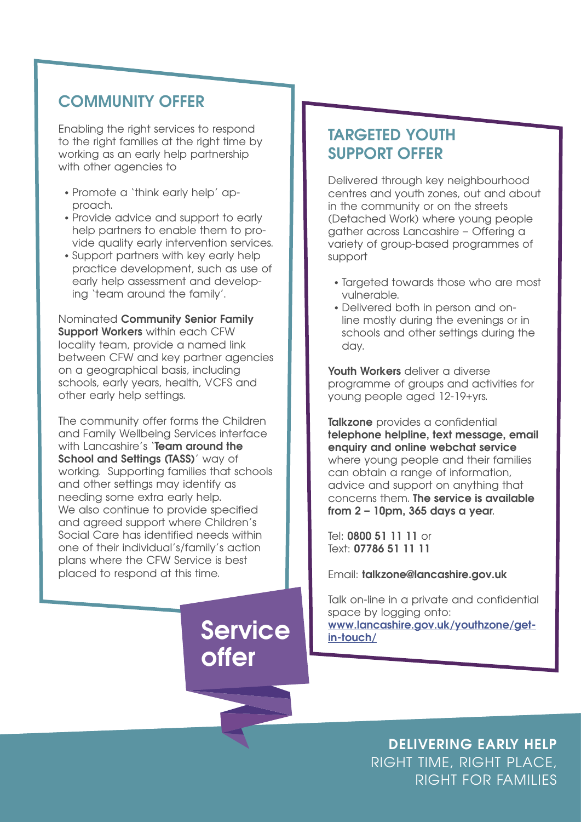### **COMMUNITY OFFER**

Enabling the right services to respond to the right families at the right time by working as an early help partnership with other agencies to

- Promote a 'think early help' approach.
- Provide advice and support to early help partners to enable them to provide quality early intervention services.
- Support partners with key early help practice development, such as use of early help assessment and developing 'team around the family'.

Nominated **Community Senior Family Support Workers** within each CFW locality team, provide a named link between CFW and key partner agencies on a geographical basis, including schools, early years, health, VCFS and other early help settings.

The community offer forms the Children and Family Wellbeing Services interface with Lancashire's **'Team around the School and Settings (TASS)'** way of working. Supporting families that schools and other settings may identify as needing some extra early help. We also continue to provide specified and agreed support where Children's Social Care has identified needs within one of their individual's/family's action plans where the CFW Service is best placed to respond at this time.

# **offer**

## **TARGETED YOUTH SUPPORT OFFER**

Delivered through key neighbourhood centres and youth zones, out and about in the community or on the streets (Detached Work) where young people gather across Lancashire – Offering a variety of group-based programmes of support

- Targeted towards those who are most vulnerable.
- Delivered both in person and online mostly during the evenings or in schools and other settings during the day.

**Youth Workers** deliver a diverse programme of groups and activities for young people aged 12-19+yrs.

**Talkzone** provides a confidential **telephone helpline, text message, email enquiry and online webchat service** where young people and their families can obtain a range of information, advice and support on anything that concerns them. **The service is available from 2 – 10pm, 365 days a year**.

Tel: **0800 51 11 11** or Text: **07786 51 11 11**

Email: **talkzone@lancashire.gov.uk**

Talk on-line in a private and confidential space by logging onto: **[www.lancashire.gov.uk/youthzone/get](www.lancashire.gov.uk/youthzone/get-in-touch/)[in-touch/](www.lancashire.gov.uk/youthzone/get-in-touch/)**

**DELIVERING EARLY HELP** RIGHT TIME, RIGHT PLACE, RIGHT FOR FAMILIES Service Mww.lancashire.gov.uk/youthzone/get-<br>
Offer<br> **Service Bulling Contains the United States And Allen Bulling RIGHT TIME, RIGHT PLACE,**